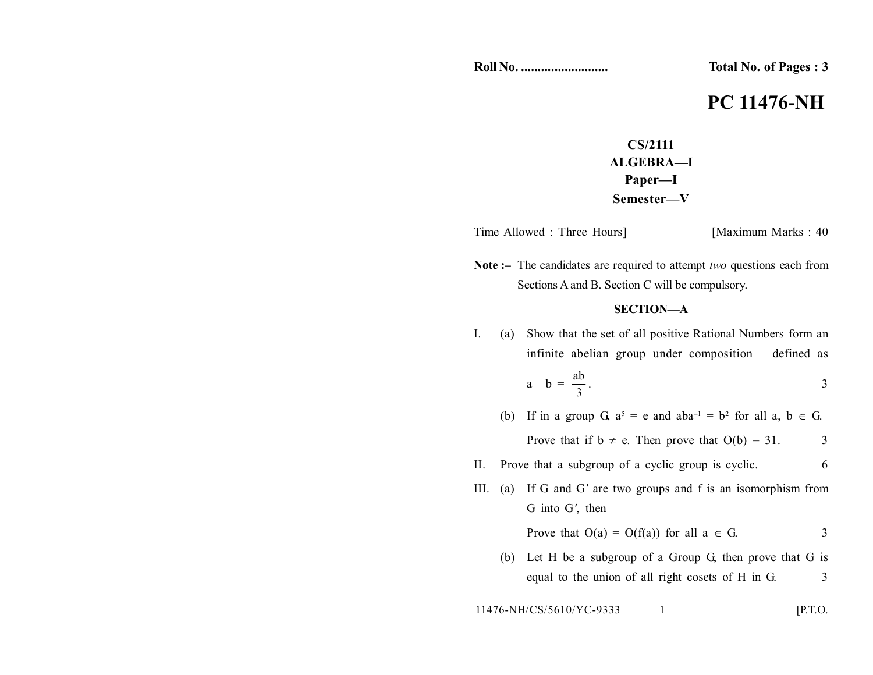**Roll No. .......................... Total No. of Pages : 3**

## **PC 11476-NH**

**CS/2111 ALGEBRA—I Paper—I Semester—V**

Time Allowed : Three Hours] [Maximum Marks : 40]

**Note :–** The candidates are required to attempt *two* questions each from Sections A and B. Section C will be compulsory.

## **SECTION—A**

I. (a) Show that the set of all positive Rational Numbers form an infinite abelian group under composition defined as a  $b = \frac{ab}{3}$ ab . 3

(b) If in a group G,  $a^5 = e$  and  $aba^{-1} = b^2$  for all a,  $b \in G$ . Prove that if  $b \neq e$ . Then prove that  $O(b) = 31$ . 3

- II. Prove that a subgroup of a cyclic group is cyclic. 6
- III. (a) If G and G*'* are two groups and f is an isomorphism from G into G*'*, then

Prove that  $O(a) = O(f(a))$  for all  $a \in G$ . 3

(b) Let H be a subgroup of a Group G, then prove that G is equal to the union of all right cosets of H in G. 3

$$
11476-NH/CS/5610/YC-9333 \t\t 1
$$
 [P.T.O.